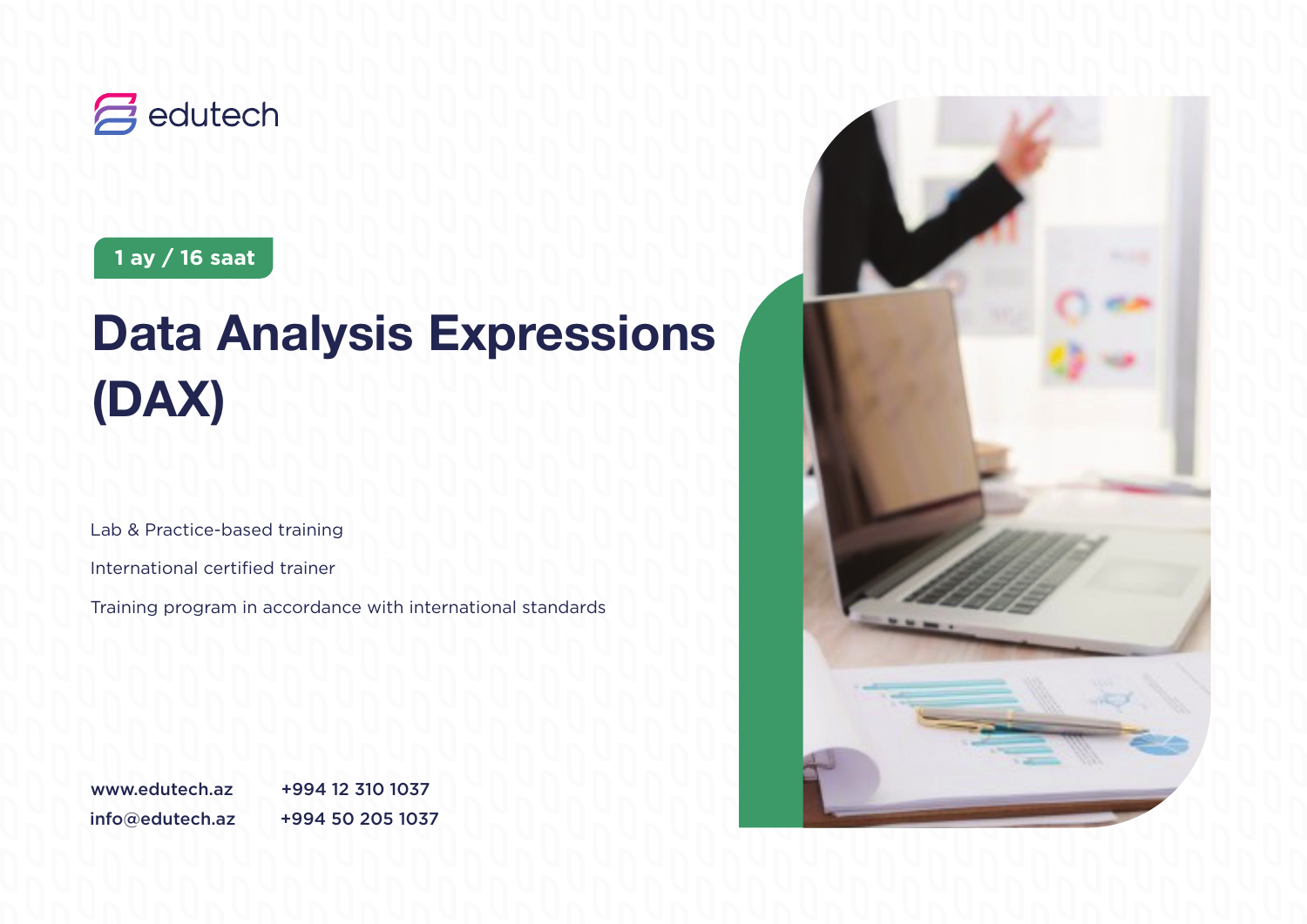

### **1 ay / 16 saat**

# **Data Analysis Expressions (DAX)**

Lab & Practice-based training

International certified trainer

Training program in accordance with international standards

info@edutech.az +994 50 205 1037 www.edutech.az +994 12 310 1037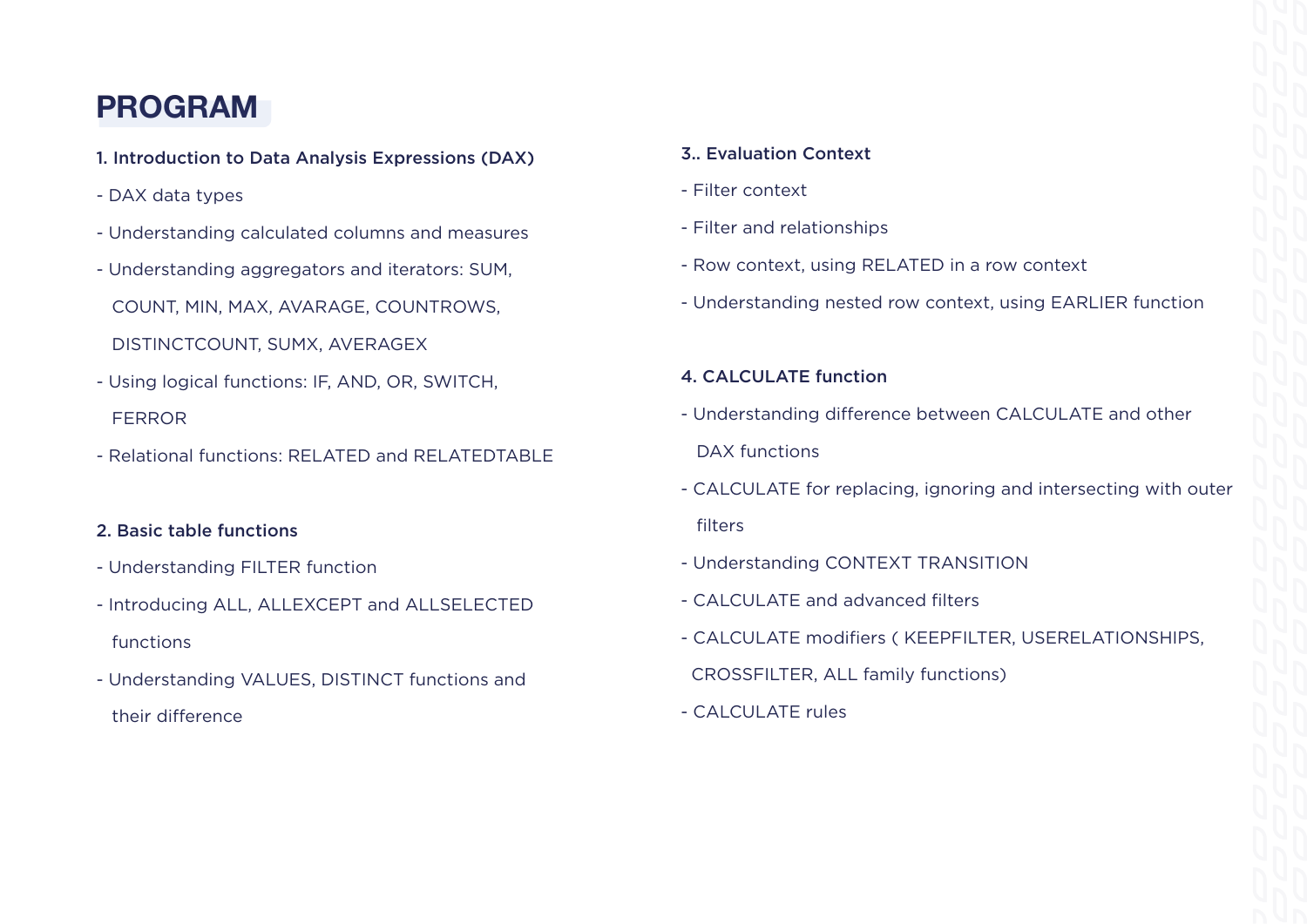## **PROGRAM**

- 1. Introduction to Data Analysis Expressions (DAX)
- DAX data types
- Understanding calculated columns and measures
- Understanding aggregators and iterators: SUM,

COUNT, MIN, MAX, AVARAGE, COUNTROWS,

- DISTINCTCOUNT, SUMX, AVERAGEX
- Using logical functions: IF, AND, OR, SWITCH, FERROR
- Relational functions: RELATED and RELATEDTABLE

#### 2. Basic table functions

- Understanding FILTER function
- Introducing ALL, ALLEXCEPT and ALLSELECTED functions
- Understanding VALUES, DISTINCT functions and their difference

#### 3.. Evaluation Context

- Filter context
- Filter and relationships
- Row context, using RELATED in a row context
- Understanding nested row context, using EARLIER function

#### 4. CALCULATE function

- Understanding difference between CALCULATE and other DAX functions
- CALCULATE for replacing, ignoring and intersecting with outer filters
- Understanding CONTEXT TRANSITION
- CALCULATE and advanced filters
- CALCULATE modifiers ( KEEPFILTER, USERELATIONSHIPS,
- CROSSFILTER, ALL family functions)
- CALCULATE rules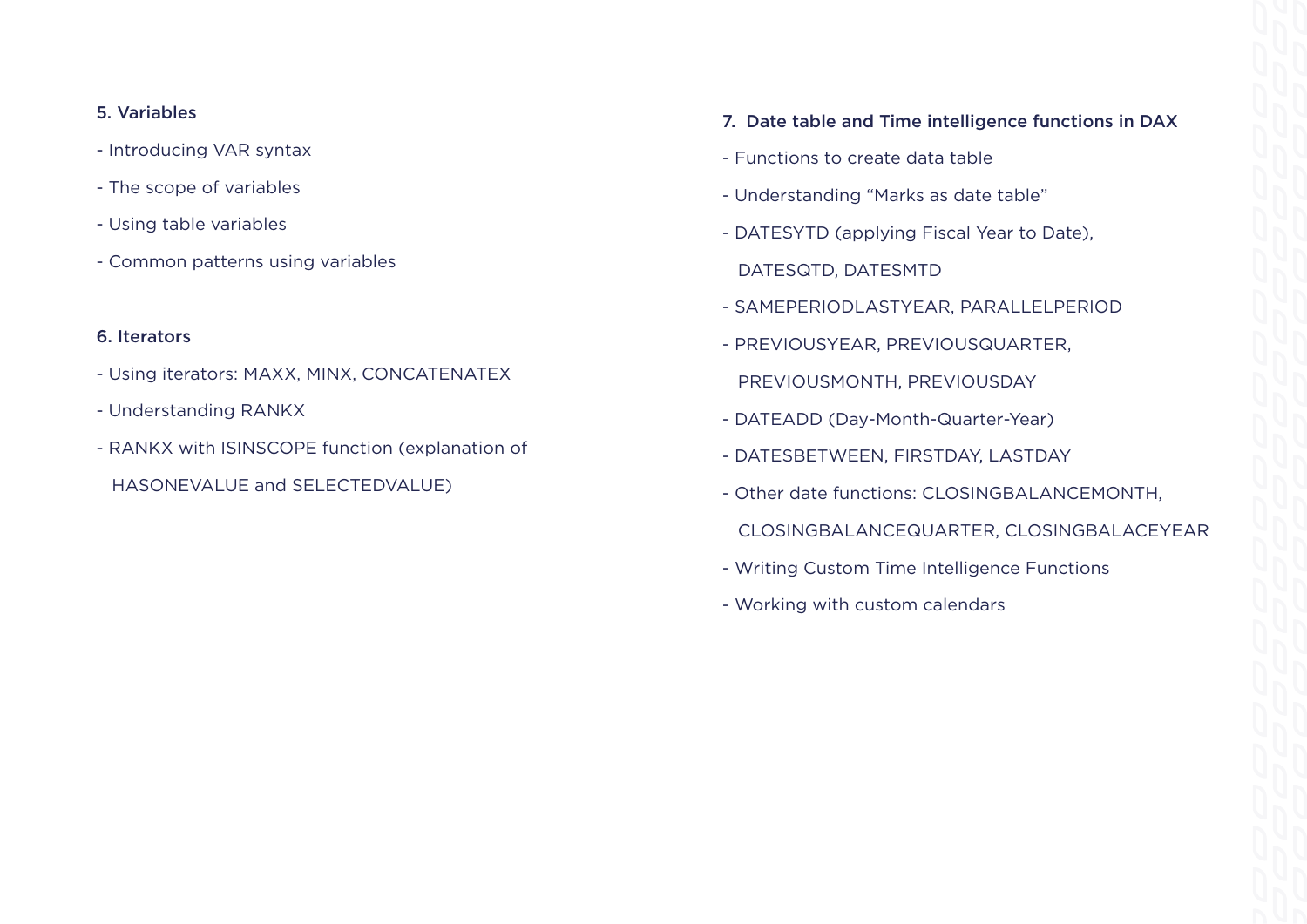#### 5. Variables

- Introducing VAR syntax
- The scope of variables
- Using table variables
- Common patterns using variables

#### 6. Iterators

- Using iterators: MAXX, MINX, CONCATENATEX
- Understanding RANKX
- RANKX with ISINSCOPE function (explanation of
	- HASONEVALUE and SELECTEDVALUE)
- 7. Date table and Time intelligence functions in DAX
- Functions to create data table
- Understanding "Marks as date table"
- DATESYTD (applying Fiscal Year to Date),
- DATESQTD, DATESMTD
- SAMEPERIODLASTYEAR, PARALLELPERIOD
- PREVIOUSYEAR, PREVIOUSQUARTER,
- PREVIOUSMONTH, PREVIOUSDAY
- DATEADD (Day-Month-Quarter-Year)
- DATESBETWEEN, FIRSTDAY, LASTDAY
- Other date functions: CLOSINGBALANCEMONTH,
- CLOSINGBALANCEQUARTER, CLOSINGBALACEYEAR
- Writing Custom Time Intelligence Functions
- Working with custom calendars